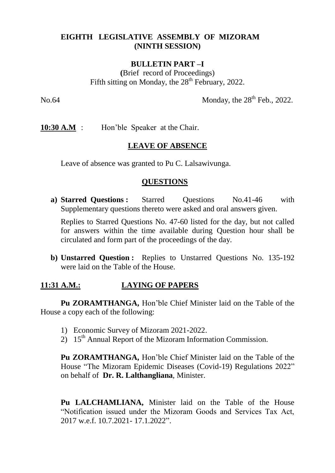## **EIGHTH LEGISLATIVE ASSEMBLY OF MIZORAM (NINTH SESSION)**

#### **BULLETIN PART –I**

**(**Brief record of Proceedings) Fifth sitting on Monday, the  $28<sup>th</sup>$  February, 2022.

No.64 Monday, the  $28<sup>th</sup>$  Feb., 2022.

**10:30 A.M** : Hon'ble Speaker at the Chair.

#### **LEAVE OF ABSENCE**

Leave of absence was granted to Pu C. Lalsawivunga.

#### **QUESTIONS**

**a) Starred Questions :** Starred Questions No.41-46 with Supplementary questions thereto were asked and oral answers given.

Replies to Starred Questions No. 47-60 listed for the day, but not called for answers within the time available during Question hour shall be circulated and form part of the proceedings of the day.

**b) Unstarred Question :** Replies to Unstarred Questions No. 135-192 were laid on the Table of the House.

## **11:31 A.M.: LAYING OF PAPERS**

**Pu ZORAMTHANGA,** Hon'ble Chief Minister laid on the Table of the House a copy each of the following:

- 1) Economic Survey of Mizoram 2021-2022.
- 2)  $15<sup>th</sup>$  Annual Report of the Mizoram Information Commission.

**Pu ZORAMTHANGA,** Hon'ble Chief Minister laid on the Table of the House "The Mizoram Epidemic Diseases (Covid-19) Regulations 2022" on behalf of **Dr. R. Lalthangliana**, Minister.

**Pu LALCHAMLIANA,** Minister laid on the Table of the House "Notification issued under the Mizoram Goods and Services Tax Act, 2017 w.e.f. 10.7.2021- 17.1.2022".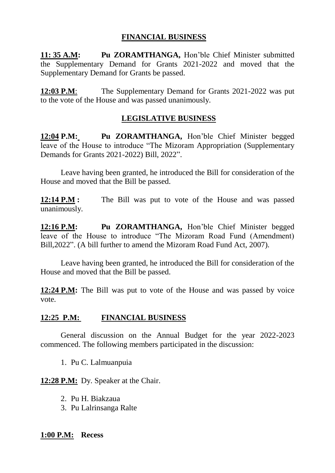## **FINANCIAL BUSINESS**

**11: 35 A.M: Pu ZORAMTHANGA,** Hon'ble Chief Minister submitted the Supplementary Demand for Grants 2021-2022 and moved that the Supplementary Demand for Grants be passed.

**12:03 P.M**: The Supplementary Demand for Grants 2021-2022 was put to the vote of the House and was passed unanimously.

# **LEGISLATIVE BUSINESS**

**12:04 P.M: Pu ZORAMTHANGA,** Hon'ble Chief Minister begged leave of the House to introduce "The Mizoram Appropriation (Supplementary Demands for Grants 2021-2022) Bill, 2022".

Leave having been granted, he introduced the Bill for consideration of the House and moved that the Bill be passed.

**12:14 P.M :** The Bill was put to vote of the House and was passed unanimously.

**12:16 P.M: Pu ZORAMTHANGA,** Hon'ble Chief Minister begged leave of the House to introduce "The Mizoram Road Fund (Amendment) Bill,2022". (A bill further to amend the Mizoram Road Fund Act, 2007).

Leave having been granted, he introduced the Bill for consideration of the House and moved that the Bill be passed.

**12:24 P.M:** The Bill was put to vote of the House and was passed by voice vote.

## **12:25 P.M: FINANCIAL BUSINESS**

General discussion on the Annual Budget for the year 2022-2023 commenced. The following members participated in the discussion:

1. Pu C. Lalmuanpuia

**12:28 P.M:** Dy. Speaker at the Chair.

- 2. Pu H. Biakzaua
- 3. Pu Lalrinsanga Ralte

## **1:00 P.M: Recess**